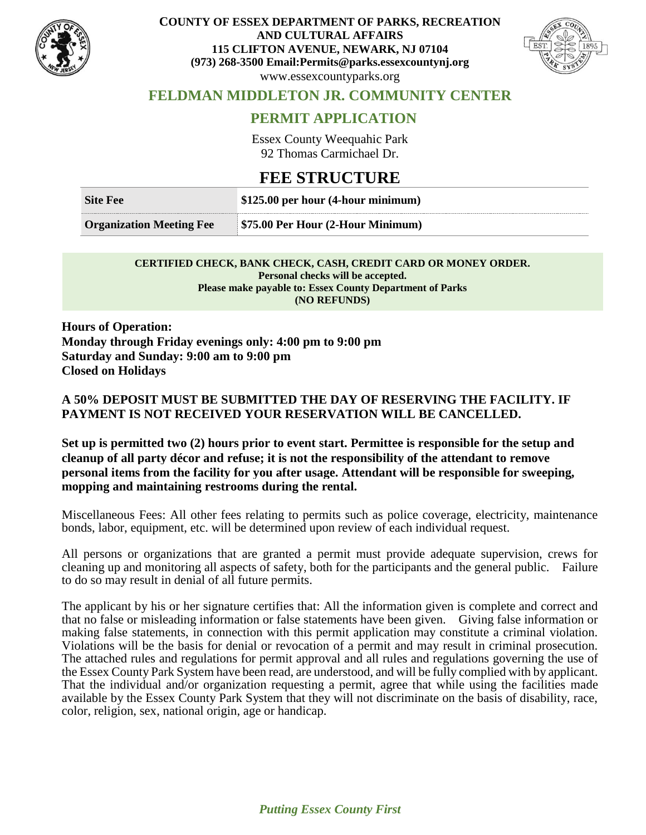

#### **COUNTY OF ESSEX DEPARTMENT OF PARKS, RECREATION AND CULTURAL AFFAIRS 115 CLIFTON AVENUE, NEWARK, NJ 07104 (973) 268-3500 Email:Permits@parks.essexcountynj.org** www.essexcountyparks.org



## **FELDMAN MIDDLETON JR. COMMUNITY CENTER**

## **PERMIT APPLICATION**

Essex County Weequahic Park 92 Thomas Carmichael Dr.

# **FEE STRUCTURE**

| <b>Site Fee</b>                 | \$125.00 per hour (4-hour minimum)       |
|---------------------------------|------------------------------------------|
| <b>Organization Meeting Fee</b> | <b>\$75.00 Per Hour (2-Hour Minimum)</b> |

#### **CERTIFIED CHECK, BANK CHECK, CASH, CREDIT CARD OR MONEY ORDER. Personal checks will be accepted. Please make payable to: Essex County Department of Parks (NO REFUNDS)**

**Hours of Operation: Monday through Friday evenings only: 4:00 pm to 9:00 pm Saturday and Sunday: 9:00 am to 9:00 pm Closed on Holidays**

### **A 50% DEPOSIT MUST BE SUBMITTED THE DAY OF RESERVING THE FACILITY. IF PAYMENT IS NOT RECEIVED YOUR RESERVATION WILL BE CANCELLED.**

**Set up is permitted two (2) hours prior to event start. Permittee is responsible for the setup and cleanup of all party décor and refuse; it is not the responsibility of the attendant to remove personal items from the facility for you after usage. Attendant will be responsible for sweeping, mopping and maintaining restrooms during the rental.**

Miscellaneous Fees: All other fees relating to permits such as police coverage, electricity, maintenance bonds, labor, equipment, etc. will be determined upon review of each individual request.

All persons or organizations that are granted a permit must provide adequate supervision, crews for cleaning up and monitoring all aspects of safety, both for the participants and the general public. Failure to do so may result in denial of all future permits.

The applicant by his or her signature certifies that: All the information given is complete and correct and that no false or misleading information or false statements have been given. Giving false information or making false statements, in connection with this permit application may constitute a criminal violation. Violations will be the basis for denial or revocation of a permit and may result in criminal prosecution. The attached rules and regulations for permit approval and all rules and regulations governing the use of the Essex County Park System have been read, are understood, and will be fully complied with by applicant. That the individual and/or organization requesting a permit, agree that while using the facilities made available by the Essex County Park System that they will not discriminate on the basis of disability, race, color, religion, sex, national origin, age or handicap.

*Putting Essex County First*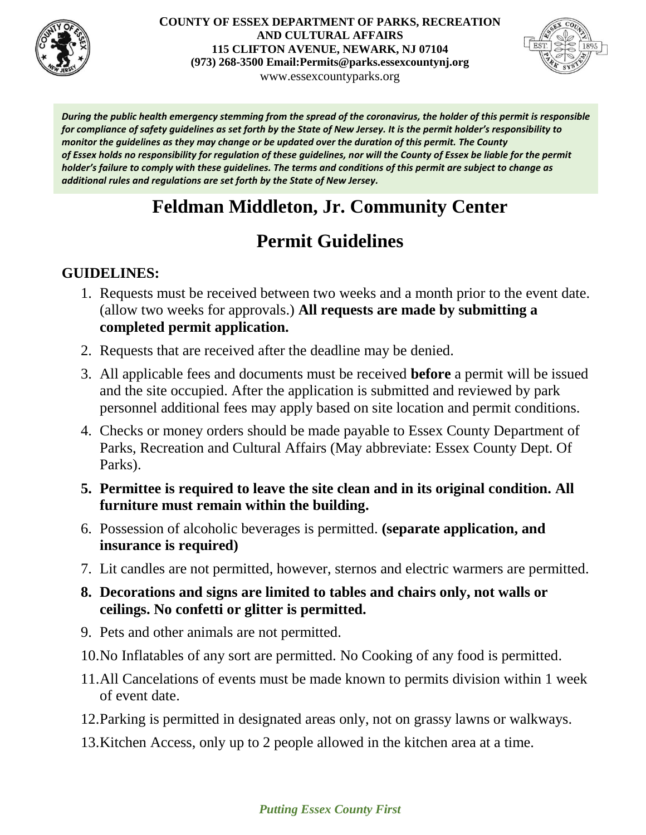

#### **COUNTY OF ESSEX DEPARTMENT OF PARKS, RECREATION AND CULTURAL AFFAIRS 115 CLIFTON AVENUE, NEWARK, NJ 07104 (973) 268-3500 Email:Permits@parks.essexcountynj.org** www.essexcountyparks.org



*During the public health emergency stemming from the spread of the coronavirus, the holder of this permit is responsible for compliance of safety guidelines as set forth by the State of New Jersey. It is the permit holder's responsibility to monitor the guidelines as they may change or be updated over the duration of this permit. The County of Essex holds no responsibility for regulation of these guidelines, nor will the County of Essex be liable for the permit holder's failure to comply with these guidelines. The terms and conditions of this permit are subject to change as additional rules and regulations are set forth by the State of New Jersey.*

# **Feldman Middleton, Jr. Community Center**

# **Permit Guidelines**

# **GUIDELINES:**

- 1. Requests must be received between two weeks and a month prior to the event date. (allow two weeks for approvals.) **All requests are made by submitting a completed permit application.**
- 2. Requests that are received after the deadline may be denied.
- 3. All applicable fees and documents must be received **before** a permit will be issued and the site occupied. After the application is submitted and reviewed by park personnel additional fees may apply based on site location and permit conditions.
- 4. Checks or money orders should be made payable to Essex County Department of Parks, Recreation and Cultural Affairs (May abbreviate: Essex County Dept. Of Parks).
- **5. Permittee is required to leave the site clean and in its original condition. All furniture must remain within the building.**
- 6. Possession of alcoholic beverages is permitted. **(separate application, and insurance is required)**
- 7. Lit candles are not permitted, however, sternos and electric warmers are permitted.
- **8. Decorations and signs are limited to tables and chairs only, not walls or ceilings. No confetti or glitter is permitted.**
- 9. Pets and other animals are not permitted.
- 10.No Inflatables of any sort are permitted. No Cooking of any food is permitted.
- 11.All Cancelations of events must be made known to permits division within 1 week of event date.
- 12.Parking is permitted in designated areas only, not on grassy lawns or walkways.
- 13.Kitchen Access, only up to 2 people allowed in the kitchen area at a time.

### *Putting Essex County First*